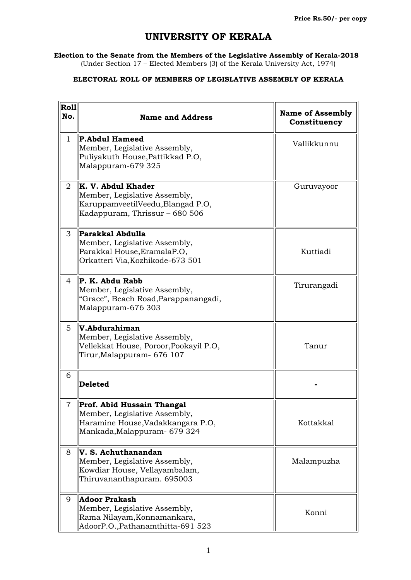## **UNIVERSITY OF KERALA**

**Election to the Senate from the Members of the Legislative Assembly of Kerala-2018** (Under Section 17 – Elected Members (3) of the Kerala University Act, 1974)

## **ELECTORAL ROLL OF MEMBERS OF LEGISLATIVE ASSEMBLY OF KERALA**

| <b>Roll</b><br>No. | <b>Name and Address</b>                                                                                                           | <b>Name of Assembly</b><br>Constituency |
|--------------------|-----------------------------------------------------------------------------------------------------------------------------------|-----------------------------------------|
| $\mathbf{1}$       | <b>P.Abdul Hameed</b><br>Member, Legislative Assembly,<br>Puliyakuth House, Pattikkad P.O,<br>Malappuram-679 325                  | Vallikkunnu                             |
| $\overline{2}$     | <b>K. V. Abdul Khader</b><br>Member, Legislative Assembly,<br>KaruppamveetilVeedu, Blangad P.O,<br>Kadappuram, Thrissur - 680 506 | Guruvayoor                              |
| 3                  | Parakkal Abdulla<br>Member, Legislative Assembly,<br>Parakkal House, EramalaP.O,<br>Orkatteri Via, Kozhikode-673 501              | Kuttiadi                                |
| 4                  | P. K. Abdu Rabb<br>Member, Legislative Assembly,<br>"Grace", Beach Road, Parappanangadi,<br>Malappuram-676 303                    | Tirurangadi                             |
| 5.                 | V.Abdurahiman<br>Member, Legislative Assembly,<br>Vellekkat House, Poroor, Pookayil P.O,<br>Tirur, Malappuram - 676 107           | Tanur                                   |
| 6                  | Deleted                                                                                                                           |                                         |
| $\overline{7}$     | Prof. Abid Hussain Thangal<br>Member, Legislative Assembly,<br>Haramine House, Vadakkangara P.O,<br>Mankada, Malappuram - 679 324 | Kottakkal                               |
| 8                  | V. S. Achuthanandan<br>Member, Legislative Assembly,<br>Kowdiar House, Vellayambalam,<br>Thiruvananthapuram. 695003               | Malampuzha                              |
| 9                  | <b>Adoor Prakash</b><br>Member, Legislative Assembly,<br>Rama Nilayam, Konnamankara,<br>AdoorP.O., Pathanamthitta-691 523         | Konni                                   |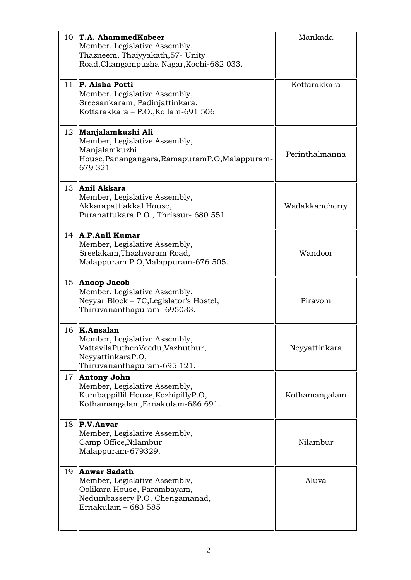| 10 | T.A. AhammedKabeer<br>Member, Legislative Assembly,                                                                                              | Mankada        |
|----|--------------------------------------------------------------------------------------------------------------------------------------------------|----------------|
|    | Thazneem, Thaiyyakath, 57- Unity<br>Road, Changampuzha Nagar, Kochi-682 033.                                                                     |                |
| 11 | <b>P. Aisha Potti</b><br>Member, Legislative Assembly,<br>Sreesankaram, Padinjattinkara,<br>Kottarakkara - P.O., Kollam-691 506                  | Kottarakkara   |
|    | 12   Manjalamkuzhi Ali<br>Member, Legislative Assembly,<br>Manjalamkuzhi<br>House, Panangangara, Ramapuram P.O, Malappuram-<br>679 321           | Perinthalmanna |
| 13 | Anil Akkara<br>Member, Legislative Assembly,<br>Akkarapattiakkal House,<br>Puranattukara P.O., Thrissur- 680 551                                 | Wadakkancherry |
| 14 | <b>A.P.Anil Kumar</b><br>Member, Legislative Assembly,<br>Sreelakam, Thazhvaram Road,<br>Malappuram P.O, Malappuram-676 505.                     | Wandoor        |
| 15 | Anoop Jacob<br>Member, Legislative Assembly,<br>Neyyar Block – 7C, Legislator's Hostel,<br>Thiruvananthapuram- 695033.                           | Piravom        |
|    | $16$   <b>K.Ansalan</b><br>Member, Legislative Assembly,<br>VattavilaPuthenVeedu, Vazhuthur,<br>NeyyattinkaraP.O,<br>Thiruvananthapuram-695 121. | Neyyattinkara  |
| 17 | <b>Antony John</b><br>Member, Legislative Assembly,<br>Kumbappillil House, KozhipillyP.O,<br>Kothamangalam, Ernakulam-686 691.                   | Kothamangalam  |
| 18 | $\ P.V.Anvar\ $<br>Member, Legislative Assembly,<br>Camp Office, Nilambur<br>Malappuram-679329.                                                  | Nilambur       |
| 19 | <b>Anwar Sadath</b><br>Member, Legislative Assembly,<br>Oolikara House, Parambayam,<br>Nedumbassery P.O. Chengamanad,<br>Ernakulam - 683 585     | Aluva          |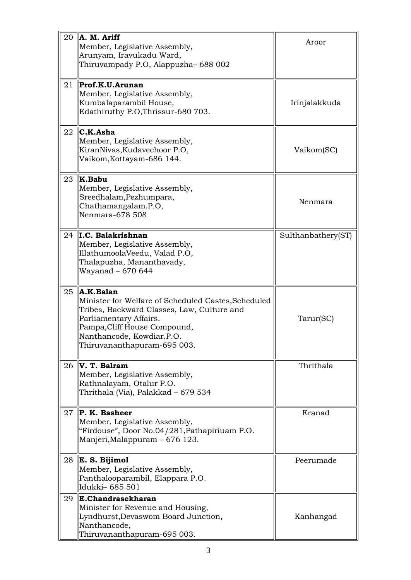| 20 | A. M. Ariff<br>Member, Legislative Assembly,<br>Arunyam, Iravukadu Ward,<br>Thiruvampady P.O, Alappuzha-688 002                                                                                                                       | Aroor              |
|----|---------------------------------------------------------------------------------------------------------------------------------------------------------------------------------------------------------------------------------------|--------------------|
| 21 | Prof.K.U.Arunan<br>Member, Legislative Assembly,<br>Kumbalaparambil House,<br>Edathiruthy P.O, Thrissur-680 703.                                                                                                                      | Irinjalakkuda      |
| 22 | C.K.Asha<br>Member, Legislative Assembly,<br>KiranNivas, Kudavechoor P.O,<br>Vaikom,Kottayam-686 144.                                                                                                                                 | Vaikom(SC)         |
| 23 | K.Babu<br>Member, Legislative Assembly,<br>Sreedhalam, Pezhumpara,<br>Chathamangalam.P.O,<br>Nenmara-678 508                                                                                                                          | Nenmara            |
| 24 | II.C. Balakrishnan<br>Member, Legislative Assembly,<br>IllathumoolaVeedu, Valad P.O,<br>Thalapuzha, Mananthavady,<br>Wayanad - 670 644                                                                                                | Sulthanbathery(ST) |
| 25 | A.K.Balan!<br>Minister for Welfare of Scheduled Castes, Scheduled<br>Tribes, Backward Classes, Law, Culture and<br>Parliamentary Affairs.<br>Pampa, Cliff House Compound,<br>Nanthancode, Kowdiar.P.O.<br>Thiruvananthapuram-695 003. | Tarur(SC)          |
| 26 | $\ V\ $ . T. Balram<br>Member, Legislative Assembly,<br>Rathnalayam, Otalur P.O.<br>Thrithala (Via), Palakkad - 679 534                                                                                                               | Thrithala          |
| 27 | P. K. Basheer<br>Member, Legislative Assembly,<br>"Firdouse", Door No.04/281, Pathapiriuam P.O.<br>Manjeri, Malappuram – 676 123.                                                                                                     | Eranad             |
| 28 | E. S. Bijimol<br>Member, Legislative Assembly,<br>Panthalooparambil, Elappara P.O.<br>Idukki-685 501                                                                                                                                  | Peerumade          |
| 29 | E.Chandrasekharan<br>Minister for Revenue and Housing,<br>Lyndhurst, Devaswom Board Junction,<br>Nanthancode,<br>Thiruvananthapuram-695 003.                                                                                          | Kanhangad          |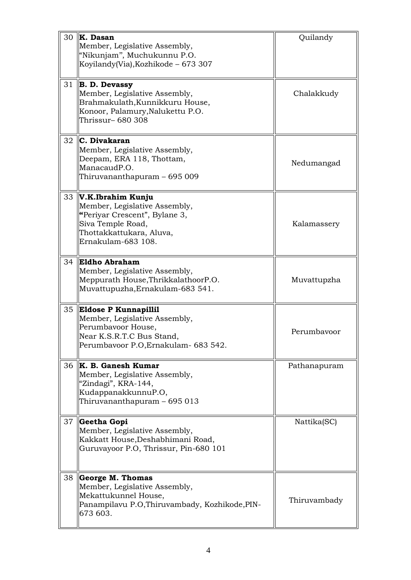| 30 | K. Dasan<br>Member, Legislative Assembly,<br>"Nikunjam", Muchukunnu P.O.<br>Koyilandy(Via), Kozhikode - 673 307                                            | Quilandy     |
|----|------------------------------------------------------------------------------------------------------------------------------------------------------------|--------------|
| 31 | <b>B. D. Devassy</b><br>Member, Legislative Assembly,<br>Brahmakulath, Kunnikkuru House,<br>Konoor, Palamury, Nalukettu P.O.<br>Thrissur– 680 308          | Chalakkudy   |
| 32 | C. Divakaran<br>Member, Legislative Assembly,<br>Deepam, ERA 118, Thottam,<br>ManacaudP.O.<br>Thiruvananthapuram – 695 009                                 | Nedumangad   |
| 33 | V.K.Ibrahim Kunju<br>Member, Legislative Assembly,<br>"Periyar Crescent", Bylane 3,<br>Siva Temple Road,<br>Thottakkattukara, Aluva,<br>Ernakulam-683 108. | Kalamassery  |
| 34 | <b>Eldho Abraham</b><br>Member, Legislative Assembly,<br>Meppurath House, ThrikkalathoorP.O.<br>Muvattupuzha, Ernakulam-683 541.                           | Muvattupzha  |
| 35 | <b>Eldose P Kunnapillil</b><br>Member, Legislative Assembly,<br>Perumbavoor House,<br>Near K.S.R.T.C Bus Stand,<br>Perumbavoor P.O, Ernakulam- 683 542.    | Perumbavoor  |
| 36 | <b>K. B. Ganesh Kumar</b><br>Member, Legislative Assembly,<br>"Zindagi", KRA-144,<br>KudappanakkunnuP.O,<br>Thiruvananthapuram – 695 013                   | Pathanapuram |
| 37 | Geetha Gopi<br>Member, Legislative Assembly,<br>Kakkatt House, Deshabhimani Road,<br>Guruvayoor P.O, Thrissur, Pin-680 101                                 | Nattika(SC)  |
| 38 | <b>George M. Thomas</b><br>Member, Legislative Assembly,<br>Mekattukunnel House,<br>Panampilavu P.O, Thiruvambady, Kozhikode, PIN-<br>673 603.             | Thiruvambady |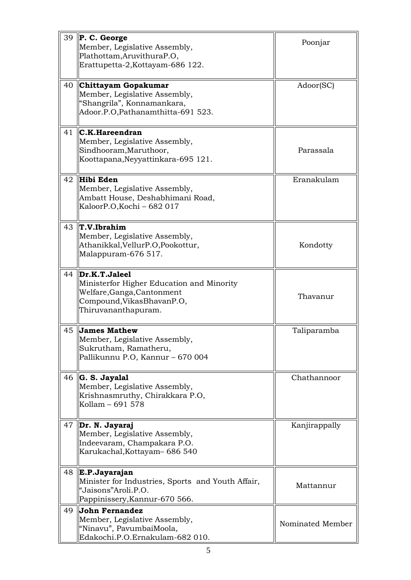| 39 | $\ P. C. George\ $<br>Member, Legislative Assembly,<br>Plathottam, AruvithuraP.O,                                                              | Poonjar          |
|----|------------------------------------------------------------------------------------------------------------------------------------------------|------------------|
|    | Erattupetta-2, Kottayam-686 122.                                                                                                               |                  |
| 40 | Chittayam Gopakumar<br>Member, Legislative Assembly,<br>"Shangrila", Konnamankara,<br>Adoor.P.O, Pathanamthitta-691 523.                       | Adoor(SC)        |
| 41 | $\mathbb{IC}.$ K.Hareendran<br>Member, Legislative Assembly,<br>Sindhooram, Maruthoor,<br>Koottapana, Neyyattinkara-695 121.                   | Parassala        |
| 42 | Hibi Eden<br>Member, Legislative Assembly,<br>Ambatt House, Deshabhimani Road,<br>KaloorP.O, Kochi - 682 017                                   | Eranakulam       |
| 43 | $\ T.V.$ Ibrahim<br>Member, Legislative Assembly,<br>Athanikkal, VellurP.O, Pookottur,<br>Malappuram-676 517.                                  | Kondotty         |
| 44 | Dr.K.T.Jaleel<br>Ministerfor Higher Education and Minority<br>Welfare, Ganga, Cantonment<br>Compound, Vikas Bhavan P.O,<br>Thiruvananthapuram. | Thavanur         |
| 45 | <b>James Mathew</b><br>Member, Legislative Assembly,<br>Sukrutham, Ramatheru,<br>Pallikunnu P.O, Kannur - 670 004                              | Taliparamba      |
| 46 | G. S. Jayalal<br>Member, Legislative Assembly,<br>Krishnasmruthy, Chirakkara P.O,<br>Kollam – 691 578                                          | Chathannoor      |
| 47 | Dr. N. Jayaraj<br>Member, Legislative Assembly,<br>Indeevaram, Champakara P.O.<br>Karukachal, Kottayam- 686 540                                | Kanjirappally    |
| 48 | E.P.Jayarajan <br>Minister for Industries, Sports and Youth Affair,<br>"Jaisons"Aroli.P.O.<br>Pappinissery, Kannur-670 566.                    | Mattannur        |
| 49 | John Fernandez<br>Member, Legislative Assembly,<br>"Ninavu", PavumbaiMoola,<br>Edakochi.P.O.Ernakulam-682 010.                                 | Nominated Member |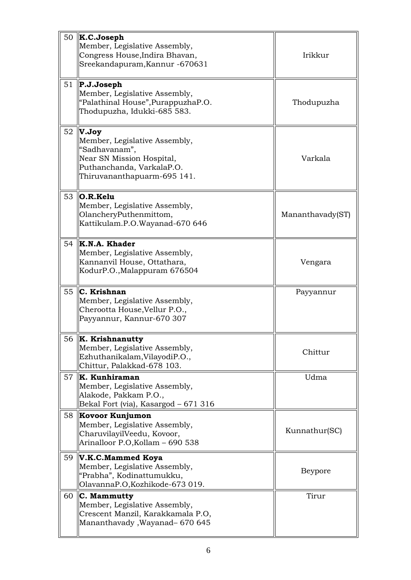| 50 | $\vert K.C.Joseph \vert$<br>Member, Legislative Assembly,<br>Congress House, Indira Bhavan,<br>Sreekandapuram, Kannur - 670631                   | Irikkur          |
|----|--------------------------------------------------------------------------------------------------------------------------------------------------|------------------|
| 51 | $\ P.J.J$ oseph<br>Member, Legislative Assembly,<br>"Palathinal House", PurappuzhaP.O.<br>Thodupuzha, Idukki-685 583.                            | Thodupuzha       |
| 52 | V.Joy<br>Member, Legislative Assembly,<br>"Sadhavanam",<br>Near SN Mission Hospital,<br>Puthanchanda, VarkalaP.O.<br>Thiruvananthapuarm-695 141. | Varkala          |
| 53 | O.R.Kelu <br>Member, Legislative Assembly,<br>OlancheryPuthenmittom,<br>Kattikulam.P.O.Wayanad-670 646                                           | Mananthavady(ST) |
| 54 | K.N.A. Khader<br>Member, Legislative Assembly,<br>Kannanvil House, Ottathara,<br>KodurP.O., Malappuram 676504                                    | Vengara          |
| 55 | C. Krishnan<br>Member, Legislative Assembly,<br>Cherootta House, Vellur P.O.,<br>Payyannur, Kannur-670 307                                       | Payyannur        |
| 56 | $\ $ K. Krishnanutty<br>Member, Legislative Assembly,<br>Ezhuthanikalam, VilayodiP.O.,<br>Chittur, Palakkad-678 103.                             | Chittur          |
| 57 | $\ $ K. Kunhiraman<br>Member, Legislative Assembly,<br>Alakode, Pakkam P.O.,<br>Bekal Fort (via), Kasargod - 671 316                             | Udma             |
| 58 | Kovoor Kunjumon<br>Member, Legislative Assembly,<br>CharuvilayilVeedu, Kovoor,<br>Arinalloor P.O, Kollam - 690 538                               | Kunnathur(SC)    |
| 59 | V.K.C.Mammed Koya<br>Member, Legislative Assembly,<br>"Prabha", Kodinattumukku,<br>OlavannaP.O, Kozhikode-673 019.                               | Beypore          |
| 60 | C. Mammutty<br>Member, Legislative Assembly,<br>Crescent Manzil, Karakkamala P.O,<br>Mananthavady, Wayanad-670 645                               | Tirur            |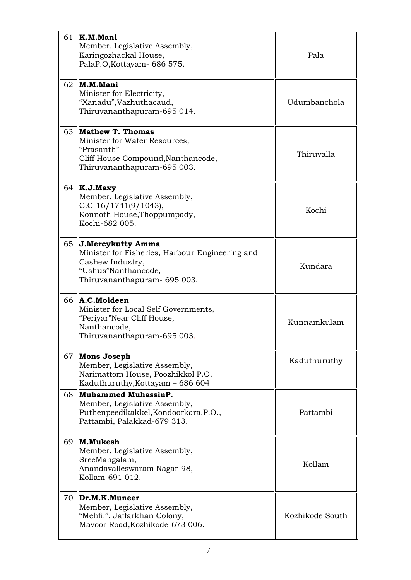| 61 | $\ $ K.M.Mani<br>Member, Legislative Assembly,<br>Karingozhackal House,<br>PalaP.O, Kottayam- 686 575.                                          | Pala            |
|----|-------------------------------------------------------------------------------------------------------------------------------------------------|-----------------|
| 62 | M.M.Mani<br>Minister for Electricity,<br>"Xanadu", Vazhuthacaud,<br>Thiruvananthapuram-695 014.                                                 | Udumbanchola    |
| 63 | Mathew T. Thomas<br>Minister for Water Resources,<br>"Prasanth"<br>Cliff House Compound, Nanthancode,<br>Thiruvananthapuram-695 003.            | Thiruvalla      |
| 64 | K.J.Maxy<br>Member, Legislative Assembly,<br>$C.C-16/1741(9/1043),$<br>Konnoth House, Thoppumpady,<br>Kochi-682 005.                            | Kochi           |
| 65 | J.Mercykutty Amma<br>Minister for Fisheries, Harbour Engineering and<br>Cashew Industry,<br>"Ushus"Nanthancode,<br>Thiruvananthapuram- 695 003. | Kundara         |
| 66 | A.C.Moideen<br>Minister for Local Self Governments,<br>"Periyar"Near Cliff House,<br>Nanthancode,<br>Thiruvananthapuram-695 003.                | Kunnamkulam     |
| 67 | Mons Joseph<br>Member, Legislative Assembly,<br>Narimattom House, Poozhikkol P.O.<br>Kaduthuruthy, Kottayam - 686 604                           | Kaduthuruthy    |
| 68 | Muhammed MuhassinP.<br>Member, Legislative Assembly,<br>Puthenpeedikakkel, Kondoorkara.P.O.,<br>Pattambi, Palakkad-679 313.                     | Pattambi        |
| 69 | M.Mukesh<br>Member, Legislative Assembly,<br>SreeMangalam,<br>Anandavalleswaram Nagar-98,<br>Kollam-691 012.                                    | Kollam          |
| 70 | Dr.M.K.Muneer<br>Member, Legislative Assembly,<br>"Mehfil", Jaffarkhan Colony,<br>Mavoor Road, Kozhikode-673 006.                               | Kozhikode South |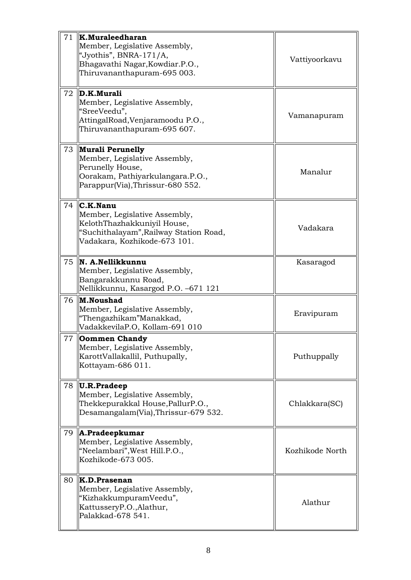| 71 | $\ $ K.Muraleedharan<br>Member, Legislative Assembly,<br>"Jyothis", BNRA-171/A,<br>Bhagavathi Nagar, Kowdiar. P.O.,<br>Thiruvananthapuram-695 003.               | Vattiyoorkavu   |
|----|------------------------------------------------------------------------------------------------------------------------------------------------------------------|-----------------|
| 72 | D.K.Murali<br>Member, Legislative Assembly,<br>"SreeVeedu",<br>AttingalRoad, Venjaramoodu P.O.,<br>Thiruvananthapuram-695 607.                                   | Vamanapuram     |
| 73 | Murali Perunelly<br>Member, Legislative Assembly,<br>Perunelly House,<br>Oorakam, Pathiyarkulangara.P.O.,<br>Parappur(Via), Thrissur-680 552.                    | Manalur         |
| 74 | $\mathsf{IC.K}$ . Nanu<br>Member, Legislative Assembly,<br>KelothThazhakkuniyil House,<br>"Suchithalayam", Railway Station Road,<br>Vadakara, Kozhikode-673 101. | Vadakara        |
| 75 | N. A.Nellikkunnu<br>Member, Legislative Assembly,<br>Bangarakkunnu Road,<br>Nellikkunnu, Kasargod P.O. -671 121                                                  | Kasaragod       |
| 76 | M.Noushad<br>Member, Legislative Assembly,<br>"Thengazhikam"Manakkad,<br>VadakkevilaP.O, Kollam-691 010                                                          | Eravipuram      |
|    | 77 <b>Oommen Chandy</b><br>Member, Legislative Assembly,<br>KarottVallakallil, Puthupally,<br>Kottayam-686 011.                                                  | Puthuppally     |
| 78 | U.R.Pradee<br>Member, Legislative Assembly,<br>Thekkepurakkal House, PallurP.O.,<br>Desamangalam(Via), Thrissur-679 532.                                         | Chlakkara(SC)   |
| 79 | $\parallel$ A.Pradeepkumar<br>Member, Legislative Assembly,<br>"Neelambari", West Hill.P.O.,<br>Kozhikode-673 005.                                               | Kozhikode North |
| 80 | $\ $ K.D.Prasenan<br>Member, Legislative Assembly,<br>"KizhakkumpuramVeedu",<br>KattusseryP.O., Alathur,<br>Palakkad-678 541.                                    | Alathur         |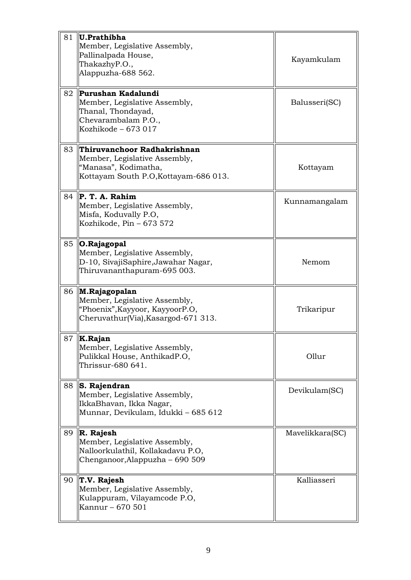| 81 | U.Prathibha<br>Member, Legislative Assembly,<br>Pallinalpada House,<br>ThakazhyP.O.,<br>Alappuzha-688 562.                    | Kayamkulam      |
|----|-------------------------------------------------------------------------------------------------------------------------------|-----------------|
| 82 | Purushan Kadalundi<br>Member, Legislative Assembly,<br>Thanal, Thondayad,<br>Chevarambalam P.O.,<br>Kozhikode - 673 017       | Balusseri(SC)   |
| 83 | Thiruvanchoor Radhakrishnan<br>Member, Legislative Assembly,<br>"Manasa", Kodimatha,<br>Kottayam South P.O, Kottayam-686 013. | Kottayam        |
| 84 | P. T. A. Rahim<br>Member, Legislative Assembly,<br>Misfa, Koduvally P.O,<br>Kozhikode, Pin - 673 572                          | Kunnamangalam   |
| 85 | 0.Rajagopal<br>Member, Legislative Assembly,<br>D-10, SivajiSaphire, Jawahar Nagar,<br>Thiruvananthapuram-695 003.            | Nemom           |
| 86 | M.Rajagopalan <br>Member, Legislative Assembly,<br>"Phoenix", Kayyoor, KayyoorP.O,<br>Cheruvathur(Via), Kasargod-671 313.     | Trikaripur      |
| 87 | K.Rajan<br>Member, Legislative Assembly,<br>Pulikkal House, AnthikadP.O,<br>Thrissur-680 641.                                 | Ollur           |
| 88 | S. Rajendran<br>Member, Legislative Assembly,<br>IkkaBhavan, Ikka Nagar,<br>Munnar, Devikulam, Idukki - 685 612               | Devikulam(SC)   |
| 89 | R. Rajesh<br>Member, Legislative Assembly,<br>Nalloorkulathil, Kollakadavu P.O,<br>Chenganoor, Alappuzha – 690 509            | Mavelikkara(SC) |
| 90 | T.V. Rajesh<br>Member, Legislative Assembly,<br>Kulappuram, Vilayamcode P.O,<br>Kannur - 670 501                              | Kalliasseri     |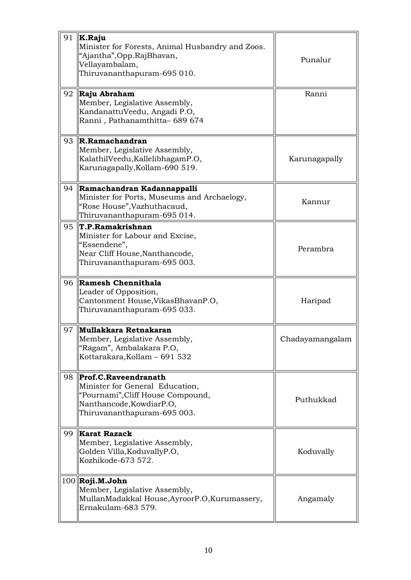| 91 | K.Raju<br>Minister for Forests, Animal Husbandry and Zoos.<br>"Ajantha", Opp. RajBhavan,<br>Vellayambalam,<br>Thiruvananthapuram-695 010.               | Punalur         |
|----|---------------------------------------------------------------------------------------------------------------------------------------------------------|-----------------|
| 92 | Raju Abraham<br>Member, Legislative Assembly,<br>KandanattuVeedu, Angadi P.O,<br>Ranni, Pathanamthitta- 689 674                                         | Ranni           |
| 93 | R.Ramachandran<br>Member, Legislative Assembly,<br>KalathilVeedu, KallelibhagamP.O,<br>Karunagapally, Kollam-690 519.                                   | Karunagapally   |
| 94 | Ramachandran Kadannappalli<br>Minister for Ports, Museums and Archaelogy,<br>"Rose House", Vazhuthacaud,<br>Thiruvananthapuram-695 014.                 | Kannur          |
| 95 | T.P.Ramakrishnan<br>Minister for Labour and Excise,<br>"Essendene",<br>Near Cliff House, Nanthancode,<br>Thiruvananthapuram-695 003.                    | Perambra        |
| 96 | Ramesh Chennithala<br>Leader of Opposition,<br>Cantonment House, Vikas Bhavan P.O,<br>Thiruvananthapuram-695 033.                                       | Haripad         |
| 97 | Mullakkara Retnakaran<br>Member, Legislative Assembly,<br>"Ragam", Ambalakara P.O,<br>Kottarakara, Kollam - 691 532                                     | Chadayamangalam |
| 98 | Prof.C.Raveendranath<br>Minister for General Education,<br>"Pournami", Cliff House Compound,<br>Nanthancode, KowdiarP.O,<br>Thiruvananthapuram-695 003. | Puthukkad       |
| 99 | <b>Karat Razack</b><br>Member, Legislative Assembly,<br>Golden Villa, KoduvallyP.O,<br>Kozhikode-673 572.                                               | Koduvally       |
|    | $100$ Roji.M.John<br>Member, Legislative Assembly,<br>MullanMadakkal House, AyroorP.O, Kurumassery,<br>Ernakulam-683 579.                               | Angamaly        |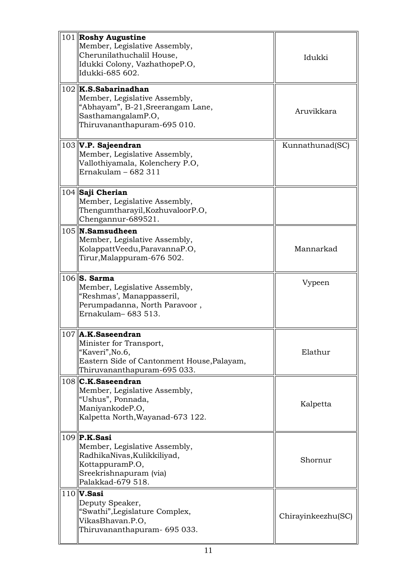| 101 Roshy Augustine<br>Member, Legislative Assembly,<br>Cherunilathuchalil House,<br>Idukki Colony, VazhathopeP.O,<br>lIdukki-685 602.             | Idukki             |
|----------------------------------------------------------------------------------------------------------------------------------------------------|--------------------|
| $102$ K.S.Sabarinadhan<br>Member, Legislative Assembly,<br>"Abhayam", B-21, Sreerangam Lane,<br>SasthamangalamP.O,<br>Thiruvananthapuram-695 010.  | Aruvikkara         |
| $103$ V.P. Sajeendran<br>Member, Legislative Assembly,<br>Vallothiyamala, Kolenchery P.O,<br>Ernakulam - 682 311                                   | Kunnathunad(SC)    |
| 104 Saji Cherian<br>Member, Legislative Assembly,<br>Thengumtharayil, KozhuvaloorP.O,<br>Chengannur-689521.                                        |                    |
| $105$ N. Samsudheen<br>Member, Legislative Assembly,<br>KolappattVeedu, ParavannaP.O,<br>Tirur, Malappuram-676 502.                                | Mannarkad          |
| $106$ S. Sarma<br>Member, Legislative Assembly,<br>"Reshmas', Manappasseril,<br>Perumpadanna, North Paravoor,<br>Ernakulam-683 513.                | Vypeen             |
| $107$   A.K.Saseendran<br>Minister for Transport,<br>"Kaveri", No.6,<br>Eastern Side of Cantonment House, Palayam,<br>Thiruvananthapuram-695 033.  | Elathur            |
| $108$ C.K.Saseendran<br>Member, Legislative Assembly,<br>"Ushus", Ponnada,<br>ManiyankodeP.O,<br>Kalpetta North, Wayanad-673 122.                  | Kalpetta           |
| $109$   P.K.Sasi<br>Member, Legislative Assembly,<br>RadhikaNivas, Kulikkiliyad,<br>KottappuramP.O,<br>Sreekrishnapuram (via)<br>Palakkad-679 518. | Shornur            |
| $110$ V. Sasi<br>Deputy Speaker,<br>"Swathi", Legislature Complex,<br>VikasBhavan.P.O,<br>Thiruvananthapuram- 695 033.                             | Chirayinkeezhu(SC) |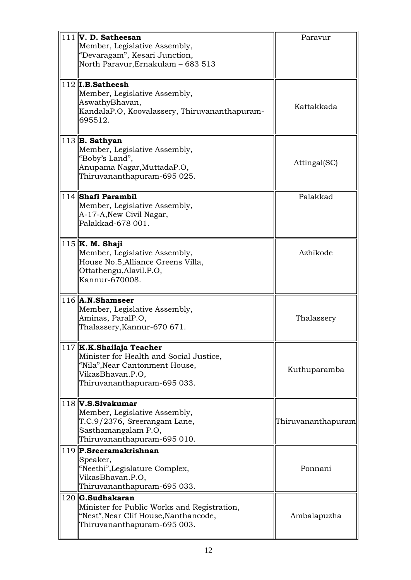| $111$ V. D. Satheesan<br>Member, Legislative Assembly,<br>"Devaragam", Kesari Junction,                                                                  | Paravur            |
|----------------------------------------------------------------------------------------------------------------------------------------------------------|--------------------|
| North Paravur, Ernakulam – 683 513                                                                                                                       |                    |
| $112$   I.B.Satheesh<br>Member, Legislative Assembly,<br>AswathyBhavan,<br>KandalaP.O, Koovalassery, Thiruvananthapuram-<br>695512.                      | Kattakkada         |
| $113$ B. Sathyan<br>Member, Legislative Assembly,<br>"Boby's Land",<br>Anupama Nagar, MuttadaP.O,<br>Thiruvananthapuram-695 025.                         | Attingal(SC)       |
| 114 Shafi Parambil<br>Member, Legislative Assembly,<br>A-17-A, New Civil Nagar,<br>Palakkad-678 001.                                                     | Palakkad           |
| $115$ K. M. Shaji<br>Member, Legislative Assembly,<br>House No.5, Alliance Greens Villa,<br>Ottathengu, Alavil.P.O,<br>Kannur-670008.                    | Azhikode           |
| $116$    <b>A.N.Shamseer</b><br>Member, Legislative Assembly,<br>Aminas, ParalP.O,<br>Thalassery, Kannur-670 671.                                        | Thalassery         |
| 117 K.K.Shailaja Teacher<br>Minister for Health and Social Justice,<br>"Nila", Near Cantonment House,<br>VikasBhavan.P.O,<br>Thiruvananthapuram-695 033. | Kuthuparamba       |
| $118$ V.S.Sivakumar<br>Member, Legislative Assembly,<br>T.C.9/2376, Sreerangam Lane,<br>Sasthamangalam P.O,<br>Thiruvananthapuram-695 010.               | Thiruvananthapuram |
| 119 P.Sreeramakrishnan<br>Speaker,<br>"Neethi", Legislature Complex,<br>VikasBhavan.P.O,<br>Thiruvananthapuram-695 033.                                  | Ponnani            |
| 120 G.Sudhakaran<br>Minister for Public Works and Registration,<br>"Nest", Near Clif House, Nanthancode,<br>Thiruvananthapuram-695 003.                  | Ambalapuzha        |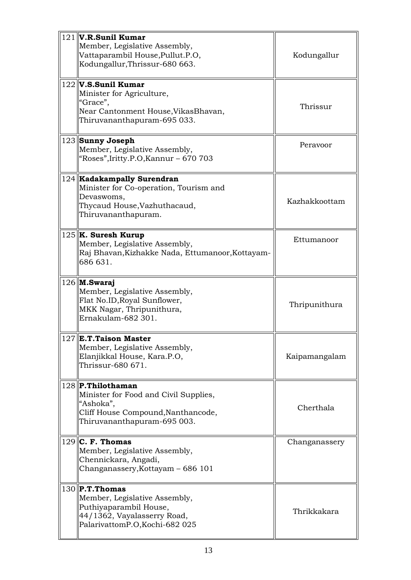| $121$ V.R.Sunil Kumar<br>Member, Legislative Assembly,<br>Vattaparambil House, Pullut.P.O,<br>Kodungallur, Thrissur-680 663.                  | Kodungallur   |
|-----------------------------------------------------------------------------------------------------------------------------------------------|---------------|
| $122$ V.S.Sunil Kumar<br>Minister for Agriculture,<br>"Grace",<br>Near Cantonment House, Vikas Bhavan,<br>Thiruvananthapuram-695 033.         | Thrissur      |
| 123 Sunny Joseph<br>Member, Legislative Assembly,<br>"Roses",Iritty.P.O,Kannur – 670 703                                                      | Peravoor      |
| 124 Kadakampally Surendran<br>Minister for Co-operation, Tourism and<br>Devaswoms,<br>Thycaud House, Vazhuthacaud,<br>Thiruvananthapuram.     | Kazhakkoottam |
| $125$   K. Suresh Kurup<br>Member, Legislative Assembly,<br>Raj Bhavan, Kizhakke Nada, Ettumanoor, Kottayam-<br>686 631.                      | Ettumanoor    |
| $126$ M. Swaraj<br>Member, Legislative Assembly,<br>Flat No.ID, Royal Sunflower,<br>MKK Nagar, Thripunithura,<br>Ernakulam-682 301.           | Thripunithura |
| $127$ E.T.Taison Master<br>Member, Legislative Assembly,<br>Elanjikkal House, Kara.P.O,<br>Thrissur-680 671.                                  | Kaipamangalam |
| 128 P.Thilothaman<br>Minister for Food and Civil Supplies,<br>"Ashoka",<br>Cliff House Compound, Nanthancode,<br>Thiruvananthapuram-695 003.  | Cherthala     |
| $129$ C. F. Thomas<br>Member, Legislative Assembly,<br>Chennickara, Angadi,<br>Changanassery, Kottayam - 686 101                              | Changanassery |
| $130$ P.T. Thomas<br>Member, Legislative Assembly,<br>Puthiyaparambil House,<br>44/1362, Vayalasserry Road,<br>PalarivattomP.O, Kochi-682 025 | Thrikkakara   |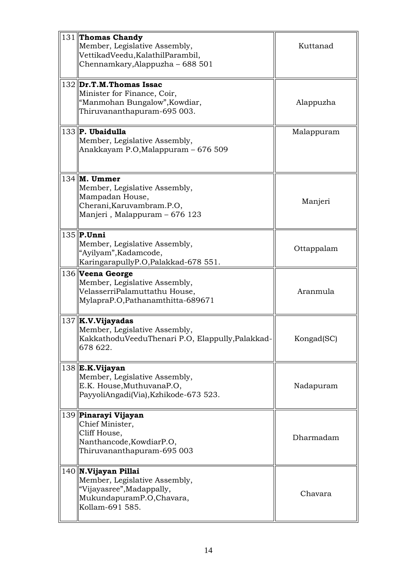| 131 Thomas Chandy<br>Member, Legislative Assembly,<br>VettikadVeedu, KalathilParambil,<br>Chennamkary, Alappuzha – 688 501            | Kuttanad   |
|---------------------------------------------------------------------------------------------------------------------------------------|------------|
| $132$ Dr.T.M. Thomas Issac<br>Minister for Finance, Coir,<br>"Manmohan Bungalow", Kowdiar,<br>Thiruvananthapuram-695 003.             | Alappuzha  |
| $133$ P. Ubaidulla<br>Member, Legislative Assembly,<br>Anakkayam P.O,Malappuram – 676 509                                             | Malappuram |
| $134$ M. Ummer<br>Member, Legislative Assembly,<br>Mampadan House,<br>Cherani, Karuvambram. P.O,<br>Manjeri, Malappuram - 676 123     | Manjeri    |
| $135$ P.Unni<br>Member, Legislative Assembly,<br>"Ayilyam", Kadamcode,<br>KaringarapullyP.O,Palakkad-678 551.                         | Ottappalam |
| 136 Veena George<br>Member, Legislative Assembly,<br>VelasserriPalamuttathu House,<br>MylapraP.O, Pathanamthitta-689671               | Aranmula   |
| $137$ K.V.Vijayadas<br>Member, Legislative Assembly,<br>KakkathoduVeeduThenari P.O, Elappully, Palakkad-<br>678 622.                  | Kongad(SC) |
| $138$  E.K.Vijayan<br>Member, Legislative Assembly,<br>E.K. House, MuthuvanaP.O,<br>PayyoliAngadi(Via), Kzhikode-673 523.             | Nadapuram  |
| 139 Pinarayi Vijayan<br>Chief Minister,<br>Cliff House,<br>Nanthancode, KowdiarP.O,<br>Thiruvananthapuram-695 003                     | Dharmadam  |
| $140$   N.Vijayan Pillai<br>Member, Legislative Assembly,<br>"Vijayasree", Madappally,<br>MukundapuramP.O,Chavara,<br>Kollam-691 585. | Chavara    |